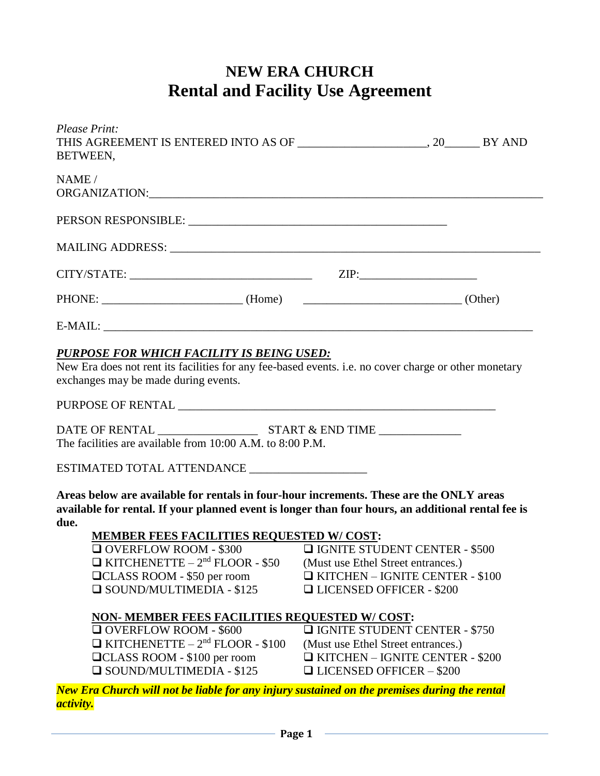## **NEW ERA CHURCH Rental and Facility Use Agreement**

| NAME /                                                                                                                                                                                                                                                                                                                                                                                                           |                                                                                                                                                                                                                                                                                                                   |  |
|------------------------------------------------------------------------------------------------------------------------------------------------------------------------------------------------------------------------------------------------------------------------------------------------------------------------------------------------------------------------------------------------------------------|-------------------------------------------------------------------------------------------------------------------------------------------------------------------------------------------------------------------------------------------------------------------------------------------------------------------|--|
|                                                                                                                                                                                                                                                                                                                                                                                                                  |                                                                                                                                                                                                                                                                                                                   |  |
|                                                                                                                                                                                                                                                                                                                                                                                                                  |                                                                                                                                                                                                                                                                                                                   |  |
| $CITY/STATE:$ ZIP:                                                                                                                                                                                                                                                                                                                                                                                               |                                                                                                                                                                                                                                                                                                                   |  |
| PHONE: (Home) (Home) (Other)                                                                                                                                                                                                                                                                                                                                                                                     |                                                                                                                                                                                                                                                                                                                   |  |
| $E-MAIL:$                                                                                                                                                                                                                                                                                                                                                                                                        |                                                                                                                                                                                                                                                                                                                   |  |
| The facilities are available from 10:00 A.M. to 8:00 P.M.<br>ESTIMATED TOTAL ATTENDANCE ___________________<br>Areas below are available for rentals in four-hour increments. These are the ONLY areas<br>available for rental. If your planned event is longer than four hours, an additional rental fee is                                                                                                     |                                                                                                                                                                                                                                                                                                                   |  |
| due.                                                                                                                                                                                                                                                                                                                                                                                                             |                                                                                                                                                                                                                                                                                                                   |  |
| MEMBER FEES FACILITIES REQUESTED W/COST:<br>$\Box$ OVERFLOW ROOM - \$300<br>$\Box$ KITCHENETTE - 2 <sup>nd</sup> FLOOR - \$50<br>□CLASS ROOM - \$50 per room<br>$\Box$ SOUND/MULTIMEDIA - \$125<br><b>NON- MEMBER FEES FACILITIES REQUESTED W/COST:</b><br>$\Box$ OVERFLOW ROOM - \$600<br>$\Box$ KITCHENETTE – 2 <sup>nd</sup> FLOOR - \$100<br>□CLASS ROOM - \$100 per room<br>$\Box$ SOUND/MULTIMEDIA - \$125 | <b>Q IGNITE STUDENT CENTER - \$500</b><br>(Must use Ethel Street entrances.)<br>$\Box$ KITCHEN - IGNITE CENTER - \$100<br>□ LICENSED OFFICER - \$200<br><b>Q IGNITE STUDENT CENTER - \$750</b><br>(Must use Ethel Street entrances.)<br>$\Box$ KITCHEN - IGNITE CENTER - \$200<br>$\Box$ LICENSED OFFICER - \$200 |  |
| New Era Church will not be liable for any injury sustained on the premises during the rental<br><i>activity.</i>                                                                                                                                                                                                                                                                                                 |                                                                                                                                                                                                                                                                                                                   |  |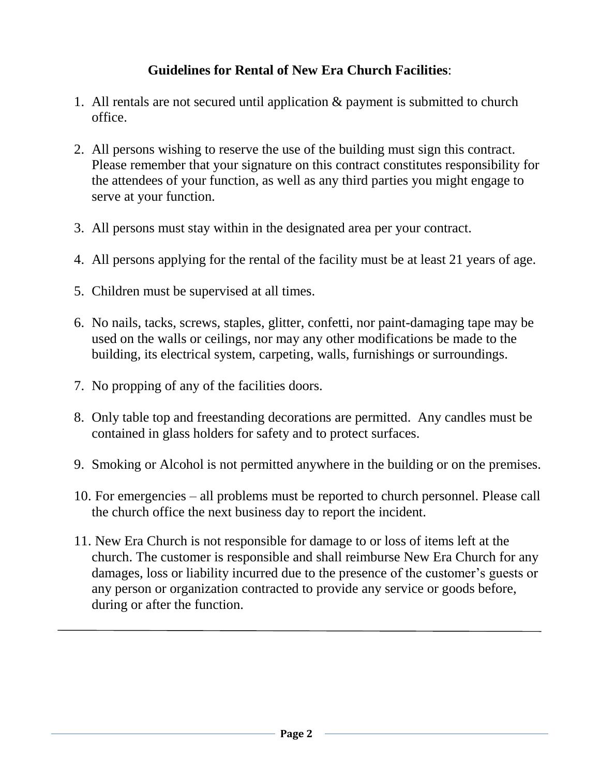## **Guidelines for Rental of New Era Church Facilities**:

- 1. All rentals are not secured until application & payment is submitted to church office.
- 2. All persons wishing to reserve the use of the building must sign this contract. Please remember that your signature on this contract constitutes responsibility for the attendees of your function, as well as any third parties you might engage to serve at your function.
- 3. All persons must stay within in the designated area per your contract.
- 4. All persons applying for the rental of the facility must be at least 21 years of age.
- 5. Children must be supervised at all times.
- 6. No nails, tacks, screws, staples, glitter, confetti, nor paint-damaging tape may be used on the walls or ceilings, nor may any other modifications be made to the building, its electrical system, carpeting, walls, furnishings or surroundings.
- 7. No propping of any of the facilities doors.
- 8. Only table top and freestanding decorations are permitted. Any candles must be contained in glass holders for safety and to protect surfaces.
- 9. Smoking or Alcohol is not permitted anywhere in the building or on the premises.
- 10. For emergencies all problems must be reported to church personnel. Please call the church office the next business day to report the incident.
- 11. New Era Church is not responsible for damage to or loss of items left at the church. The customer is responsible and shall reimburse New Era Church for any damages, loss or liability incurred due to the presence of the customer's guests or any person or organization contracted to provide any service or goods before, during or after the function.